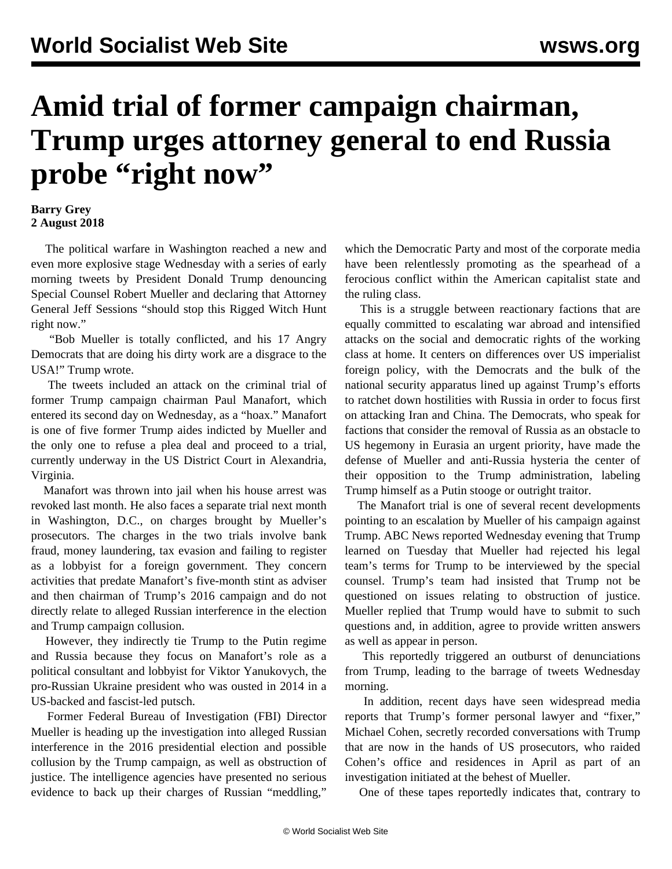## **Amid trial of former campaign chairman, Trump urges attorney general to end Russia** probe "right now"

## **Barry Grey 2 August 2018**

 The political warfare in Washington reached a new and even more explosive stage Wednesday with a series of early morning tweets by President Donald Trump denouncing Special Counsel Robert Mueller and declaring that Attorney General Jeff Sessions "should stop this Rigged Witch Hunt right now."

 "Bob Mueller is totally conflicted, and his 17 Angry Democrats that are doing his dirty work are a disgrace to the USA!" Trump wrote.

 The tweets included an attack on the criminal trial of former Trump campaign chairman Paul Manafort, which entered its second day on Wednesday, as a "hoax." Manafort is one of five former Trump aides indicted by Mueller and the only one to refuse a plea deal and proceed to a trial, currently underway in the US District Court in Alexandria, Virginia.

 Manafort was thrown into jail when his house arrest was revoked last month. He also faces a separate trial next month in Washington, D.C., on charges brought by Mueller's prosecutors. The charges in the two trials involve bank fraud, money laundering, tax evasion and failing to register as a lobbyist for a foreign government. They concern activities that predate Manafort's five-month stint as adviser and then chairman of Trump's 2016 campaign and do not directly relate to alleged Russian interference in the election and Trump campaign collusion.

 However, they indirectly tie Trump to the Putin regime and Russia because they focus on Manafort's role as a political consultant and lobbyist for Viktor Yanukovych, the pro-Russian Ukraine president who was ousted in 2014 in a US-backed and fascist-led putsch.

 Former Federal Bureau of Investigation (FBI) Director Mueller is heading up the investigation into alleged Russian interference in the 2016 presidential election and possible collusion by the Trump campaign, as well as obstruction of justice. The intelligence agencies have presented no serious evidence to back up their charges of Russian "meddling,"

which the Democratic Party and most of the corporate media have been relentlessly promoting as the spearhead of a ferocious conflict within the American capitalist state and the ruling class.

 This is a struggle between reactionary factions that are equally committed to escalating war abroad and intensified attacks on the social and democratic rights of the working class at home. It centers on differences over US imperialist foreign policy, with the Democrats and the bulk of the national security apparatus lined up against Trump's efforts to ratchet down hostilities with Russia in order to focus first on attacking Iran and China. The Democrats, who speak for factions that consider the removal of Russia as an obstacle to US hegemony in Eurasia an urgent priority, have made the defense of Mueller and anti-Russia hysteria the center of their opposition to the Trump administration, labeling Trump himself as a Putin stooge or outright traitor.

 The Manafort trial is one of several recent developments pointing to an escalation by Mueller of his campaign against Trump. ABC News reported Wednesday evening that Trump learned on Tuesday that Mueller had rejected his legal team's terms for Trump to be interviewed by the special counsel. Trump's team had insisted that Trump not be questioned on issues relating to obstruction of justice. Mueller replied that Trump would have to submit to such questions and, in addition, agree to provide written answers as well as appear in person.

 This reportedly triggered an outburst of denunciations from Trump, leading to the barrage of tweets Wednesday morning.

 In addition, recent days have seen widespread media reports that Trump's former personal lawyer and "fixer," Michael Cohen, secretly recorded conversations with Trump that are now in the hands of US prosecutors, who raided Cohen's office and residences in April as part of an investigation initiated at the behest of Mueller.

One of these tapes reportedly indicates that, contrary to